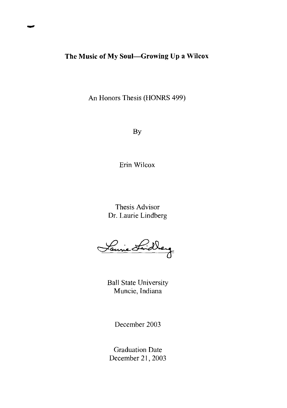# **The Music of My Soul-Growing Up a Wilcox**

-

An Honors Thesis (HONRS 499)

By

Erin Wilcox

Thesis Advisor Dr. Laurie Lindberg

Laurie Saidre

Ball State University Muncie, Indiana

December 2003

Graduation Date December 21 , 2003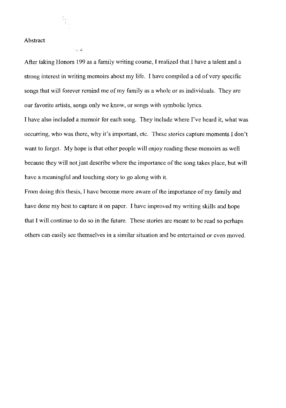## **Abstract**

 $\cdot$ 1, 4

After taking Honors 199 as a family writing course, I realized that I have a talent and a strong interest in writing memoirs about my life. I have compiled a cd of very specific songs that will forever remind me of my family as a whole or as individuals. They are our favorite artists, songs only we know, or songs with symbolic lyrics.

I have also included a memoir for each song. They include where I've heard it, what was occurring, who was there, why it's important, etc. These stories capture moments I don't want to forget. My hope is that other people will enjoy reading these memoirs as well because they will not just describe where the importance of the song takes place, but will have a meaningful and touching story to go along with it.

From doing this thesis, I have become more aware of the importance of my family and have done my best to capture it on paper. I have improved my writing skills and hope that I will continue to do so in the future. These stories are meant to be read so perhaps others can easily see themselves in a similar situation and be entertained or even moved.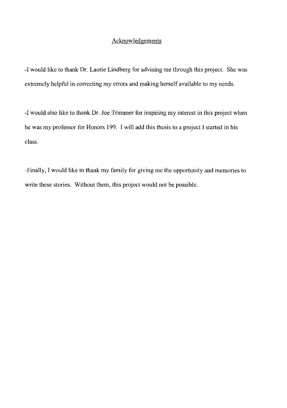# Acknowledgements

-I would like to thank Dr. Laurie Lindberg for advising me through this project. She was extremely helpful in correcting my errors and making herself available to my needs.

-I would also like to thank Dr. Joe Trimmer for inspiring my interest in this project when he was my professor for Honors 199. 1 will add this thesis to a project 1 started in his class.

-Finally, 1 would like to thank my family for giving me the opportunity and memories to write these stories. Without them, this project would not be possible.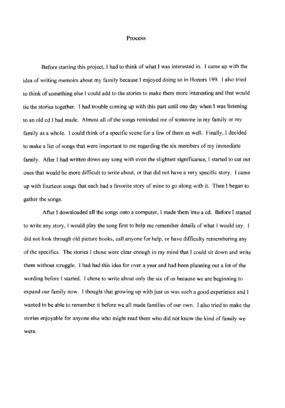#### Process

Before starting this project, I had to think of what I was interested in. I came up with the idea of writing memoirs about my family because I enjoyed doing so in Honors 199. I also tried to think of something else I could add to the stories to make them more interesting and that would tie the stories together. I had trouble coming up with this part until one day when I was listening to an old cd I had made. Almost all of the songs reminded me of someone in my family or my family as a whole. I could think of a specific scene for a few of them as well. Finally, I decided to make a list of songs that were important to me regarding the six members of my immediate family. After I had written down any song with even the slightest significance, I started to cut out ones that would be more difficult to write about, or that did not have a very specific story. I came up with fourteen songs that each had a favorite story of mine to go along with it. Then I began to gather the songs.

After I downloaded all the songs onto a computer, I made them into a cd. Before I started to write any story, I would play the song first to help me remember details of what I would say. I did not look through old picture books, call anyone for help, or have difficulty remembering any of the specifics. The stories I chose were clear enough in my mind that I could sit down and write them without struggle. I had had this idea for over a year and had been planning out a lot of the wording before I started. I chose to write about only the six of us because we are beginning to expand our family now. I thought that growing up with just us was such a good experience and I wanted to be able to remember it before we all made families of our own. I also tried to make the stories enjoyable for anyone else who might read them who did not know the kind of family we **were.**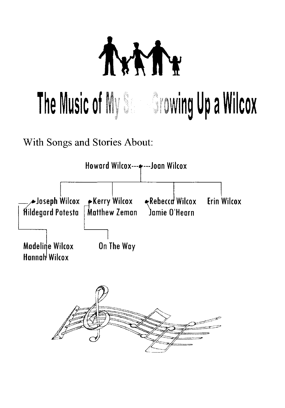

With Songs and Stories About:



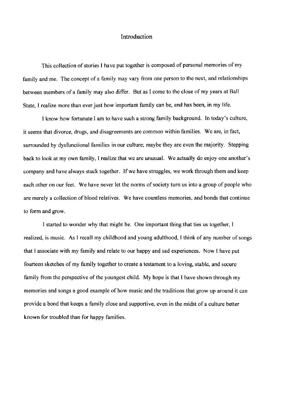## Introduction

This collection of stories I have put together is composed of personal memories of my family and me. The concept of a family may vary from one person to the next, and relationships between members of a family may also differ. But as I come to the close of my years at Ball State, I realize more than ever just how important family can be, and has been, in my life.

I know how fortunate I am to have such a strong family background. In today's culture, it seems that divorce, drugs, and disagreements are common within families. We are, in fact, surrounded by dysfunctional families in our culture; maybe they are even the majority. Stepping back to look at my own family, I realize that we are unusual. We actually do enjoy one another's company and have always stuck together. If we have struggles, we work through them and keep each other on our feet. We have never let the norms of society turn us into a group of people who are merely a collection of blood relatives. We have countless memories, and bonds that continue to form and grow.

I started to wonder why that might be. One important thing that ties us together, I realized, is music. As I recall my childhood and young adulthood, I think of any number of songs that I associate with my family and relate to our happy and sad experiences. Now I have put fourteen sketches of my family together to create a testament to a loving, stable, and secure family from the perspective of the youngest child. My hope is that I have shown through my memories and songs a good example of how music and the traditions that grow up around it can provide a bond that keeps a family close and supportive, even in the midst of a culture better known for troubled than for happy families.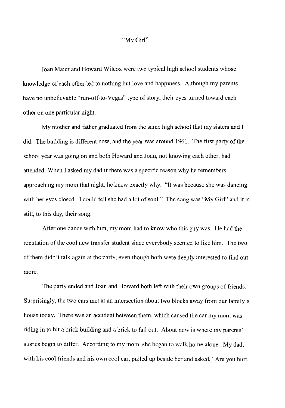### "My Girl"

Joan Maier and Howard Wilcox were two typical high school students whose knowledge of each other led to nothing but love and happiness. Although my parents have no unbelievable "run-off-to-Vegas" type of story, their eyes turned toward each other on one particular night.

My mother and father graduated from the same high school that my sisters and I did. The building is different now, and the year was around 1961. The first party of the school year was going on and both Howard and Joan, not knowing each other, had attended. When I asked my dad if there was a specific reason why he remembers approaching my mom that night, he knew exactly why. "It was because she was dancing with her eyes closed. I could tell she had a lot of soul." The song was "My Girl" and it is still, to this day, their song.

After one dance with him, my mom had to know who this guy was. He had the reputation of the cool new transfer student since everybody seemed to like him. The two of them didn't talk again at the party, even though both were deeply interested to find out more.

The party ended and Joan and Howard both left with their own groups of friends. Surprisingly, the two cars met at an intersection about two blocks away from our family's house today. There was an accident between them, which caused the car my mom was riding in to hit a brick building and a brick to fall out. About now is where my parents' stories begin to differ. According to my mom, she began to walk home alone. My dad, with his cool friends and his own cool car, pulled up beside her and asked, "Are you hurt,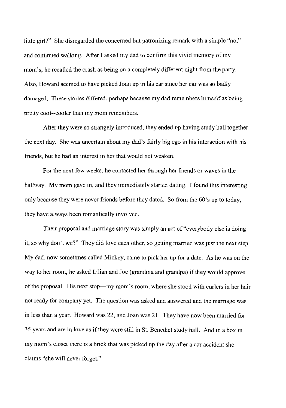little girl?" She disregarded the concerned but patronizing remark with a simple "no," and continued walking. After I asked my dad to confirm this vivid memory of my mom's, he recalled the crash as being on a completely different night from the party. Also, Howard seemed to have picked Joan up in his car since her car was so badly damaged. These stories differed, perhaps because my dad remembers himself as being pretty cool--cooler than my mom remembers.

After they were so strangely introduced, they ended up having study hall together the next day. She was uncertain about my dad's fairly big ego in his interaction with his friends, but he had an interest in her that would not weaken.

For the next few weeks, he contacted her through her friends or waves in the hallway. My mom gave in, and they immediately started dating. I found this interesting only because they were never friends before they dated. So from the 60's up to today, they have always been romantically involved.

Their proposal and marriage story was simply an act of "everybody else is doing it, so why don't we?" They did love each other, so getting married was just the next step. My dad, now sometimes called Mickey, came to pick her up for a date. As he was on the way to her room, he asked Lilian and Joe (grandma and grandpa) if they would approve of the proposal. His next stop--my mom's room, where she stood with curlers in her hair not ready for company yet. The question was asked and answered and the marriage was in less than a year. Howard was 22, and Joan was 21. They have now been married for 35 years and are in love as if they were still in St. Benedict study hall. And in a box in my mom's closet there is a brick that was picked up the day after a car accident she claims "she will never forget."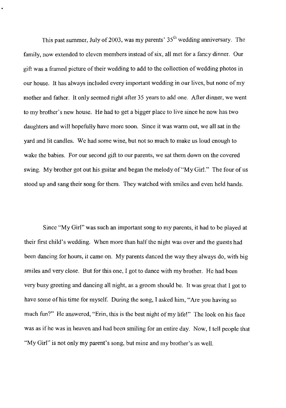This past summer, July of 2003, was my parents'  $35<sup>th</sup>$  wedding anniversary. The family, now extended to eleven members instead of six, all met for a fancy dinner. Our gift was a framed picture of their wedding to add to the collection of wedding photos in our house. It has always included every important wedding in our lives, but none of my mother and father. It only seemed right after 35 years to add one. After dinner, we went to my brother's new house. He had to get a bigger place to live since he now has two daughters and will hopefully have more soon. Since it was warm out, we all sat in the yard and lit candles. We had some wine, but not so much to make us loud enough to wake the babies. For our second gift to our parents, we sat them down on the covered swing. My brother got out his guitar and began the melody of "My Girl." The four of us stood up and sang their song for them. They watched with smiles and even held hands.

Since "My Girl" was such an important song to my parents, it had to be played at their first child's wedding. When more than half the night was over and the guests had been dancing for hours, it came on. My parents danced the way they always do, with big smiles and very close. But for this one, I got to dance with my brother. He had been very busy greeting and dancing all night, as a groom should be. It was great that I got to have some of his time for myself. During the song, I asked him, "Are you having so much fun?" He answered, "Erin, this is the best night of my life!" The look on his face was as ifhe was in heaven and had been smiling for an entire day. Now, I tell people that "My Girl" is not only my parent's song, but mine and my brother's as well.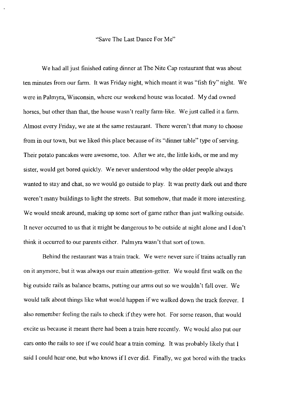# "Save The Last Dance For Me"

We had all just finished eating dinner at The Nite Cap restaurant that was about ten minutes from our farm. It was Friday night, which meant it was "fish fry" night. We were in Palmyra, Wisconsin, where our weekend house was located. My dad owned horses, but other than that, the house wasn't really farm-like. We just called it a farm. Almost every Friday, we ate at the same restaurant. There weren't that many to choose from in our town, but we liked this place because of its "dinner table" type of serving. Their potato pancakes were awesome, too. After we ate, the little kids, or me and my sister, would get bored quickly. We never understood why the older people always wanted to stay and chat, so we would go outside to play. It was pretty dark out and there weren't many buildings to light the streets. But somehow, that made it more interesting. We would sneak around, making up some sort of game rather than just walking outside. It never occurred to us that it might be dangerous to be outside at night alone and I don't think it occurred to our parents either. Palmyra wasn't that sort of town.

Behind the restaurant was a train track. We were never sure if trains actually ran on it anymore, but it was always our main attention-getter. We would first walk on the big outside rails as balance beams, putting our arms out so we wouldn't fall over. We would talk about things like what would happen if we walked down the track forever. I also remember feeling the rails to check if they were hot. For some reason, that would excite us because it meant there had been a train here recently. We would also put our ears onto the rails to see if we could hear a train coming. It was probably likely that I said I could hear one, but who knows if I ever did. Finally, we got bored with the tracks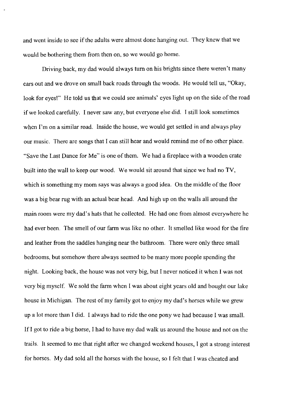and went inside to see if the adults were almost done hanging out. They knew that we would be bothering them from then on, so we would go home.

Driving back, my dad would always tum on his brights since there weren't many cars out and we drove on small back roads through the woods. He would tell us, "Okay, look for eyes!" He told us that we could see animals' eyes light up on the side of the road if we looked carefully. I never saw any, but everyone else did. I still look sometimes when I'm on a similar road. Inside the house, we would get settled in and always play our music. There are songs that I can still hear and would remind me of no other place. "Save the Last Dance for Me" is one of them. We had a fireplace with a wooden crate built into the wall to keep our wood. We would sit around that since we had no TV, which is something my mom says was always a good idea. On the middle of the floor was a big bear rug with an actual bear head. And high up on the walls all around the main room were my dad's hats that he collected. He had one from almost everywhere he had ever been. The smell of our farm was like no other. It smelled like wood for the fire and leather from the saddles hanging near the bathroom. There were only three small bedrooms, but somehow there always seemed to be many more people spending the night. Looking back, the house was not very big, but I never noticed it when I was not very big myself. We sold the farm when I was about eight years old and bought our lake house in Michigan. The rest of my family got to enjoy my dad's horses while we grew up a lot more than I did. I always had to ride the one pony we had because I was small. **If** I got to ride a big horse, I had to have my dad walk us around the house and not on the trails. It seemed to me that right after we changed weekend houses, I got a strong interest for horses. My dad sold all the horses with the house, so I felt that I was cheated and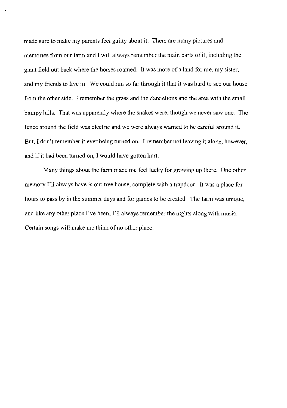made sure to make my parents feel guilty about it. There are many pictures and memories from our farm and I will always remember the main parts of it, including the giant field out back where the horses roamed. It was more of a land for me, my sister, and my friends to live in. We could run so far through it that it was hard to see our house from the other side. I remember the grass and the dandelions and the area with the small bumpy hills. That was apparently where the snakes were, though we never saw one. The fence around the field was electric and we were always warned to be careful around it. But, I don't remember it ever being turned on. I remember not leaving it alone, however, and if it had been turned on, I would have gotten hurt.

Many things about the farm made me feel lucky for growing up there. One other memory I'll always have is our tree house, complete with a trapdoor. It was a place for hours to pass by in the summer days and for games to be created. The farm was unique, and like any other place I've been, I'll always remember the nights along with music. Certain songs will make me think of no other place.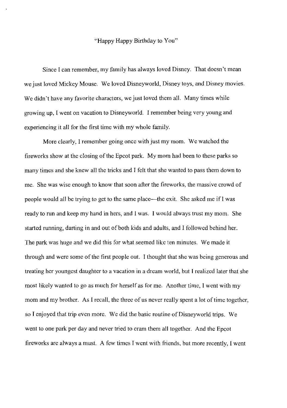### "Happy Happy Birthday to You"

Since I can remember, my family has always loved Disney. That doesn't mean we just loved Mickey Mouse. We loved Disneyworld, Disney toys, and Disney movies. We didn't have any favorite characters, we just loved them all. Many times while growing up, I went on vacation to Disneyworld. I remember being very young and experiencing it all for the first time with my whole family.

More clearly, I remember going once with just my mom. We watched the fireworks show at the closing of the Epcot park. My mom had been to these parks so many times and she knew all the tricks and I felt that she wanted to pass them down to me. She was wise enough to know that soon after the fireworks, the massive crowd of people would all be trying to get to the same place-the exit. She asked me if I was ready to run and keep my hand in hers, and I was. I would always trust my mom. She started running, darting in and out of both kids and adults, and I followed behind her. The park was huge and we did this for what seemed like ten minutes. We made it through and were some of the first people out. I thought that she was being generous and treating her youngest daughter to a vacation in a dream world, but I realized later that she most likely wanted to go as much for herself as for me. Another time, I went with my mom and my brother. As I recall, the three of us never really spent a lot of time together, so I enjoyed that trip even more. We did the basic routine of Disneyworld trips. We went to one park per day and never tried to cram themall together. And the Epcot fireworks are always a must. A few times I went with friends, but more recently, I went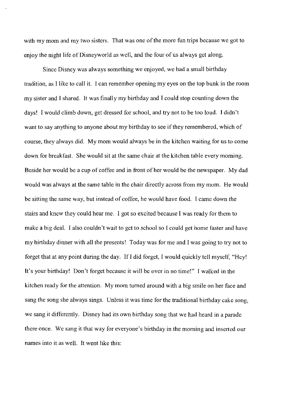with my mom and my two sisters. That was one of the more fun trips because we got to enjoy the night life of Disneyworld as well, and the four of us always get along.

Since Disney was always something we enjoyed, we had a small birthday tradition, as I like to call it. I can remember opening my eyes on the top bunk in the room my sister and I shared. It was finally my birthday and I could stop counting down the days! I would climb down, get dressed for school, and try not to be too loud. I didn't want to say anything to anyone about my birthday to see if they remembered, which of course, they always did. My mom would always be in the kitchen waiting for us to come down for breakfast. She would sit at the same chair at the kitchen table every morning. Beside her would be a cup of coffee and in front of her would be the newspaper. My dad would was always at the same table in the chair directly across from my mom. He would be sitting the same way, but instead of coffee, he would have food. I came down the stairs and knew they could hear me. I got so excited because I was ready for them to make a big deal. I also couldn't wait to get to school so I could get home faster and have my birthday dinner with all the presents! Today was for me and I was going to try not to forget that at any point during the day. If I did forget, I would quickly tell myself, "Hey! It's your birthday! Don't forget because it will be over in no time!" I walked in the kitchen ready for the attention. My mom turned around with a big smile on her face and sang the song she always sings. Unless it was time for the traditional birthday cake song, we sang it differently. Disney had its own birthday song that we had heard in a parade there once. We sang it that way for everyone's birthday in the morning and inserted our names into it as well. It went like this: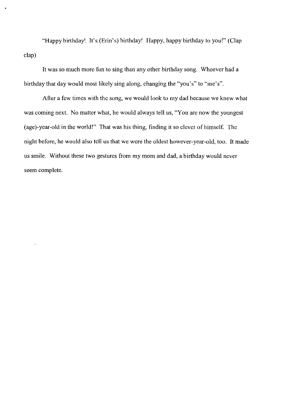"Happy birthday' It's (Erin's) birthday! Happy, happy birthday to you!" (Clap clap)

It was so much more fun to sing than any other birthday song. Whoever had a birthday that day would most likely sing along, changing the "you's" to "me's".

After a few times with the song, we would look to my dad because we knew what was coming next. No matter what, he would always tell us, "You are now the youngest (age)-year-old in the world!" That was his thing, finding it so clever of himself. The night before, he would also tell us that we were the oldest however-year-old, too. It made us smile. Without these two gestures from my mom and dad, a birthday would never seem complete.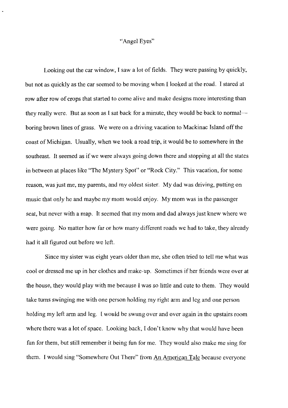# "Angel Eyes"

Looking out the car window, I saw a lot of fields. They were passing by quickly, but not as quickly as the car seemed to be moving when I looked at the road. I stared at row after row of crops that started to come alive and make designs more interesting than they really were. But as soon as I sat back for a minute, they would be back to normal boring brown lines of grass. We were on a driving vacation to Mackinac Island off the coast of Michigan. Usually, when we took a road trip, it would be to somewhere in the southeast. It seemed as if we were always going down there and stopping at all the states in between at places like "The Mystery Spot" or "Rock City." This vacation, for some reason, was just me, my parents, and my oldest sister. My dad was driving, putting on music that only he and maybe my mom would enjoy. My mom was in the passenger seat, but never with a map. It seemed that my mom and dad always just knew where we were going. No matter how far or how many different roads we had to take, they already had it all figured out before we left.

Since my sister was eight years older than me, she often tried to tell me what was cool or dressed me up in her clothes and make-up. Sometimes if her friends were over at the house, they would play with me because I was so little and cute to them. They would take turns swinging me with one person holding my right arm and leg and one person holding my left arm and leg. I would be swung over and over again in the upstairs room where there was a lot of space. Looking back, I don't know why that would have been fun for them, but still remember it being fun for me. They would also make me sing for them. I would sing "Somewhere Out There" from An American Tale because everyone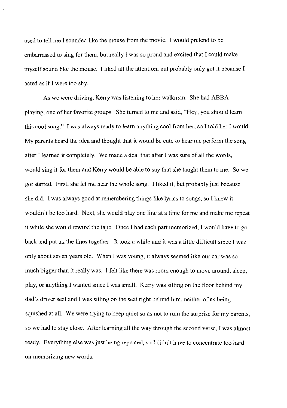used to tell me I sounded like the mouse from the movie. I would pretend to be embarrassed to sing for them, but really [ was so proud and excited that I could make myself sound like the mouse. I liked all the attention, but probably only got it because I acted as if I were too shy.

As we were driving, Kerry was listening to her walkman. She had ABBA playing, one of her favorite groups. She turned to me and said, "Hey, you should learn this cool song." I was always ready to learn anything cool from her, so I told her I would. My parents heard the idea and thought that it would be cute to hear me perform the song after I learned it completely. We made a deal that after I was sure of all the words, I would sing it for them and Kerry would be able to say that she taught them to me. So we got started. First, she let me hear the whole song. I liked it, but probably just because she did. I was always good at remembering things like lyrics to songs, so I knew it wouldn't be too hard. Next, she would play one line at a time for me and make me repeat it while she would rewind the tape. Once I had each part memorized, I would have to go back and put all the lines together. It took a while and it was a little difficult since I was only about seven years old. When I was young, it always seemed like our car was so much bigger than it really was. I felt like there was room enough to move around, sleep, play, or anything I wanted since I was small. Kerry was sitting on the floor behind my dad's driver seat and I was sitting on the seat right behind him, neither of us being squished at all. We were trying to keep quiet so as not to ruin the surprise for my parents, so we had to stay close. After learning all the way through the second verse, I was almost ready. Everything else was just being repeated, so I didn't have to concentrate too hard on memorizing new words.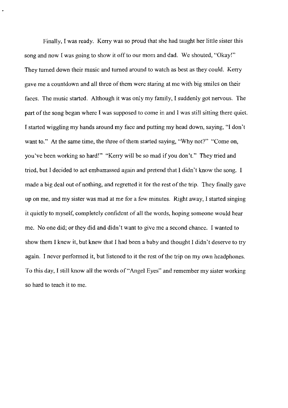Finally, I was ready. Kerry was so proud that she had taught her little sister this song and now I was going to show it off to our mom and dad. We shouted, "Okay!" They turned down their music and turned around to watch as best as they could. Kerry gave me a countdown and all three of them were staring at me with big smiles on their faces. The music started. Although it was only my family, I suddenly got nervous. The part of the song began where I was supposed to come in and I was still sitting there quiet. I started wiggling my hands around my face and putting my head down, saying, "I don't want to." At the same time, the three of them started saying, "Why not?" "Come on, you've been working so hard'" "Kerry will be so mad if you don't." They tried and tried, but I decided to act embarrassed again and pretend that I didn't know the song. I made a big deal out of nothing, and regretted it for the rest of the trip. They finally gave up on me, and my sister was mad at me for a few minutes. Right away, I started singing it quietly to myself, completely confident of all the words, hoping someone would hear me. No one did; or they did and didn't want to give me a second chance. I wanted to show them I knew it, but knew that I had been a baby and thought I didn't deserve to try again. I never performed it, but listened to it the rest of the trip on my own headphones. To this day, I still know all the words of "Angel Eyes" and remember my sister working so hard to teach it to me.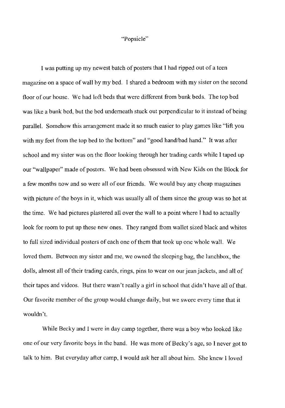### **"Popsic1e"**

I was putting up my newest batch of posters that I had ripped out of a teen magazine on a space of wall by my bed. I shared a bedroom with my sister on the second floor of our house. We had loft beds that were different from bunk beds. The top bed was like a bunk bed, but the bed underneath stuck out perpendicular to it instead of being parallel. Somehow this arrangement made it so much easier to play games like "lift you with my feet from the top bed to the bottom" and "good hand/bad hand." It was after school and my sister was on the floor looking through her trading cards while I taped up our "wallpaper" made of posters. We had been obsessed with New Kids on the Block for a few months now and so were all of our friends. We would buy any cheap magazines with picture of the boys in it, which was usually all of them since the group was so hot at the time. We had pictures plastered all over the wall to a point where I had to actually look for room to put up these new ones. They ranged from wallet sized black and whites to full sized individual posters of each one of them that took up one whole wall. We loved them. Between my sister and me, we owned the sleeping bag, the lunchbox, the dolls, almost all of their trading cards, rings, pins to wear on our jean jackets, and all of their tapes and videos. But there wasn't really a girl in school that didn't have all of that. Our favorite member of the group would change daily, but we swore every time that it wouldn't.

While Becky and I were in day camp together, there was a boy who looked like one of our very favorite boys in the band. He was more of Becky's age, so I never got to talk to him. But everyday after camp, I would ask her all about him. She knew I loved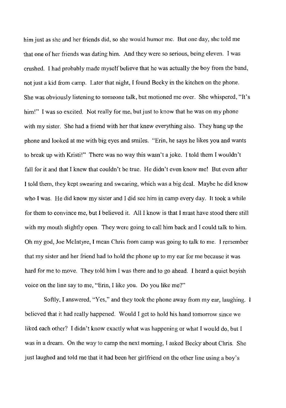him just as she and her friends did, so she would humor me. But one day, she told me that one of her friends was dating him. And they were so serious, being eleven. I was crushed. I had probably made myself believe that he was actually the boy from the band, not just a kid from camp. Later that night, I found Becky in the kitchen on the phone. She was obviously listening to someone talk, but motioned me over. She whispered, "It's him!" I was so excited. Not really for me, but just to know that he was on my phone with my sister. She had a friend with her that knew everything also. They hung up the phone and looked at me with big eyes and smiles. "Erin, he says he likes you and wants to break up with Kristi!" There was no way this wasn't a joke. I told them I wouldn't fall for it and that I knew that couldn't be true. He didn't even know me! But even after I told them, they kept swearing and swearing, which was a big deal. Maybe he did know who I was. He did know my sister and I did see him in camp every day. It took a while for them to convince me, but I believed it. All I know is that I must have stood there still with my mouth slightly open. They were going to call him back and I could talk to him. Oh my god, Joe McIntyre, I mean Chris from camp was going to talk to me. J remember that my sister and her friend had to hold the phone up to my ear for me because it was hard for me to move. They told him I was there and to go ahead. I heard a quiet boyish voice on the line say to me, "Erin, I like you. Do you like me?"

Softly, I answered, "Yes," and they took the phone away from my ear, laughing. I believed that it had really happened. Would I get to hold his hand tomorrow since we liked each other? I didn't know exactly what was happening or what I would do, but I was in a dream. On the way to camp the next morning, I asked Becky about Chris. She just laughed and told me that it had been her girlfriend on the other line using a boy's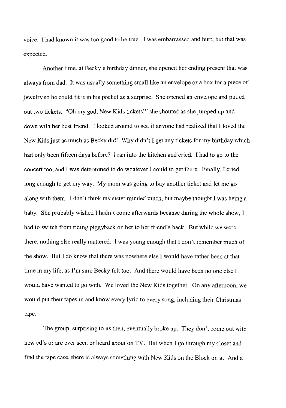voice. I had known it was too good to be true. I was embarrassed and hurt, but that was expected.

Another time, at Becky's birthday dinner, she opened her ending present that was always from dad. It was usually something small like an envelope or a box for a piece of jewelry so he could fit it in his pocket as a surprise. She opened an envelope and pulled out two tickets. "Oh my god, New Kids tickets!" she shouted as she jumped up and down with her best friend. I looked around to see if anyone had realized that I loved the New Kids just as much as Becky did! Why didn't I get any tickets for my birthday which had only been fifteen days before? I ran into the kitchen and cried. I had to go to the concert too, and I was determined to do whatever I could to get there. Finally, I cried long enough to get my way. My mom was going to buy another ticket and let me go along with them. I don't think my sister minded much, but maybe thought I was being a baby. She probably wished I hadn't come afterwards because during the whole show, I had to switch from riding piggyback on her to her friend's back. But while we were there, nothing else really mattered. I was young enough that I don't remember much of the show. But I do know that there was nowhere else I would have rather been at that time in my life, as I'm sure Becky felt too. And there would have been no one else I would have wanted to go with. We loved the New Kids together. On any afternoon, we would put their tapes in and know every lyric to every song, including their Christmas tape.

The group, surprising to us then, eventually broke up. They don't come out with new cd's or are ever seen or heard about on TV. But when I go through my closet and find the tape case, there is always something with New Kids on the Block on it. And a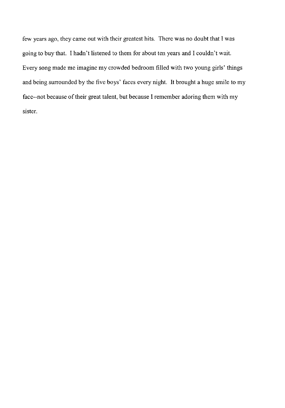few years ago, they came out with their greatest hits\_ There was no doubt that I was going to buy that. I hadn't listened to them for about ten years and I couldn't wait. Every song made me imagine my crowded bedroom filled with two young girls' things and being surrounded by the five boys' faces every night. It brought a huge smile to my face--not because of their great talent, but because I remember adoring them with my sister.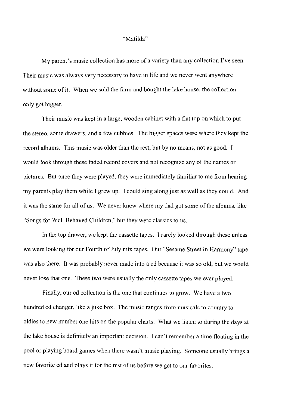#### "Matilda"

My parent's music collection has more of a variety than any collection I've seen. Their music was always very necessary to have in life and we never went anywhere without some of it. When we sold the farm and bought the lake house, the collection only got bigger.

Their music was kept in a large, wooden cabinet with a flat top on which to put the stereo, some drawers, and a few cubbies. The bigger spaces were where they kept the record albums. This music was older than the rest, but by no means, not as good. I would look through these faded record covers and not recognize any of the names or pictures. But once they were played, they were immediately familiar to me from hearing my parents play them while I grew up. I could sing along just as well as they could. And it was the same for all of us. We never knew where my dad got some of the albums, like "Songs for Well Behaved Children," but they were classics to us.

In the top drawer, we kept the cassette tapes. I rarely looked through these unless we were looking for our Fourth of July mix tapes. Our "Sesame Street in Harmony" tape was also there. It was probably never made into a cd because it was so old, but we would never lose that one. These two were usually the only cassette tapes we ever played.

Finally, our cd collection is the one that continues to grow. Wc have a two hundred cd changer, like a juke box. The music ranges from musicals to country to oldies to new number one hits on the popular charts. What we listen to during the days at the lake house is definitely an important decision. I can't remember a time floating in the pool or playing board games when there wasn't music playing. Someone usually brings a new favorite cd and plays it for the rest of us before we get to our favorites.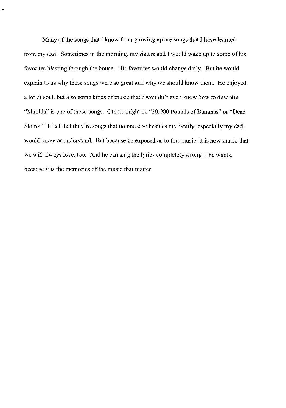Many of the songs that I know from growing up are songs that I have learned from my dad. Sometimes in the morning, my sisters and I would wake up to some of his favorites blasting through the house. His favorites would change daily. But he would explain to us why these songs were so great and why we should know them. He enjoyed a lot of soul, but also some kinds of music that I wouldn't even know how to describe. "Matilda" is one of those songs. Others might be "30,000 Pounds of Bananas" or "Dead Skunk." I feel that they're songs that no one else besides my family, especially my dad, would know or understand. But because he exposed us to this music, it is now music that we will always love, too. And he can sing the lyrics completely wrong if he wants, because it is the memories of the music that matter.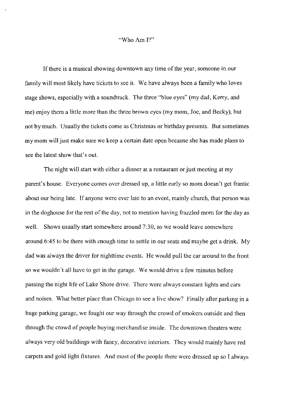### "Who Am I?"

If there is a musical showing downtown any time of the year, someone in our family will most likely have tickets to see it. We have always been a family who loves stage shows, especially with a soundtrack. The three "blue eyes" (my dad, Kerry, and me) enjoy them a little more than the three brown eyes (my mom, Joe, and Becky), but not by much. Usually the tickets come as Christmas or birthday presents. But sometimes my mom will just make sure we keep a certain date open because she has made plans to see the latest show that's out.

The night will start with either a dinner at a restaurant or just meeting at my parent's house. Everyone comes over dressed up, a little early so mom doesn't get frantic about our being late. If anyone were ever late to an event, mainly church, that person was in the doghouse for the rest of the day, not to mention having frazzled mom for the day as well. Shows usually start somewhere around 7:30, so we would leave somewhere around 6:45 to be there with enough time to settle in our seats and maybe get a drink. My dad was always the driver for nighttime events. He would pull the car around to the front so we wouldn't all have to get in the garage. We would drive a few minutes before passing the night life of Lake Shore drive. There were always constant lights and cars and noises. What better place than Chicago to see a live show? Finally after parking in a huge parking garage, we fought our way through the crowd of smokers outside and then through the crowd of people buying merchandise inside. The downtown theaters were always very old buildings with fancy, decorative interiors. They would mainly have red carpets and gold light fixtures. And most of the people there were dressed up so I always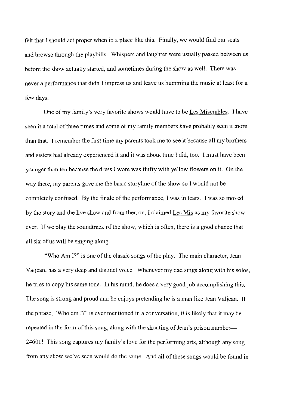felt that I should act proper when in a place like this. Finally, we would find our seats and browse through the playbills. Whispers and laughter were usually passed between us before the show actually started, and sometimes during the show as well. There was never a performance that didn't impress us and leave us humming the music at least for a few days.

One of my family's very favorite shows would have to be Les Miserables. I have seen it a total of three times and some of my family members have probably seen it more than that. I remember the first time my parents took me to see it because all my brothers and sisters had already experienced it and it was about time I did, too. I must have been younger than ten because the dress I wore was fluffy with yellow flowers on it. On the way there, my parents gave me the basic storyline of the show so I would not be completely confused. By the finale of the performance, I was in tears. I was so moved by the story and the live show and from then on, I claimed Les Mis as my favorite show ever. If we play the soundtrack of the show, which is often, there is a good chance that all six of us will be singing along.

"Who Am I?" is one of the classic songs of the play. The main character, Jean Valjean, has a very deep and distinct voice. Whenever my dad sings along with his solos, he tries to copy his same tone. In his mind, he does a very good job accomplishing this. The song is strong and proud and he enjoys pretending he is a man like Jean Valjean. If the phrase, "Who am I?" is ever mentioned in a conversation, it is likely that it may be repeated in the form of this song, along with the shouting of Jean's prison number-24601! This song captures my family's love for the performing arts, although any song from any show we've seen would do the same. And all of these songs would be found in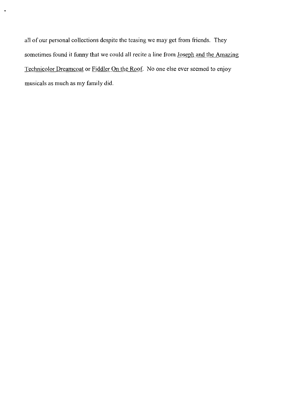all of our personal collections despite the teasing we may get from friends. They sometimes found it funny that we could all recite a line from Joseph and the Amazing Technicolor Dreamcoat or Fiddler On the Roof. No one else ever seemed to enjoy musicals as much as my family did.

 $\ddot{\phantom{0}}$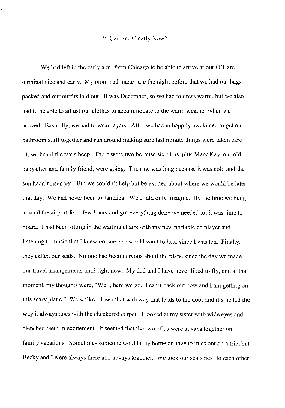# "I Can See Clearly Now"

We had left in the early a.m. from Chicago to be able to arrive at our O'Hare terminal nice and early. My mom had made sure the night before that we had our bags packed and our outfits laid out. It was December, so we had to dress warm, but we also had to be able to adjust our clothes to accommodate to the warm weather when we arrived. Basically, we had to wear layers. After we had unhappily awakened to get our bathroom stuff together and run around making sure last minute things were taken care of, we heard the taxis beep. There were two because six of us, plus Mary Kay, our old babysitter and family friend, were going. The ride was long because it was cold and the sun hadn't risen yet. But we couldn't help but be excited about where we would be later that day. We had never been to Jamaica' We could only imagine. By the time we hung around the airport for a few hours and got everything done we needed to, it was time to board. 1 had been sitting in the waiting chairs with my new portable cd player and listening to music that 1 knew no one else would want to hear since 1 was ten. Finally, they called our seats. No one had been nervous about the plane since the day we made our travel arrangements until right now. My dad and 1 have never liked to fly, and at that moment, my thoughts were, "Well, here we go. I can't back out now and I am getting on this scary plane." We walked down that walkway that leads to the door and it smelled the way it always does with the checkered carpet. I looked at my sister with wide eyes and clenched teeth in excitement. It seemed that the two of us were always together on family vacations. Sometimes someone would stay home or have to miss out on a trip, but Becky and 1 were always there and always together. We took our seats next to each other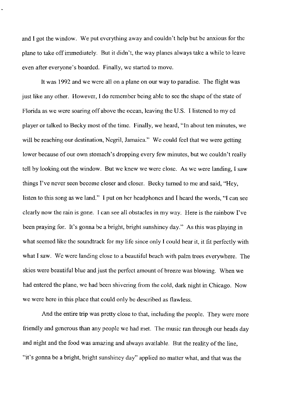and I got the window. We put everything away and couldn't help but be anxious for the plane to take off immediately. But it didn't, the way planes always take a while to leave even after everyone's boarded. Finally, we started to move.

It was 1992 and we were all on a plane on our way to paradise. The flight was just like any other. However, I do remember being able to see the shape of the state of Florida as we were soaring off above the ocean, leaving the U.S. I listened to my cd player or talked to Becky most of the time. Finally, we heard, "In about ten minutes, we will be reaching our destination, Negril, Jamaica." We could feel that we were getting lower because of our own stomach's dropping every few minutes, but we couldn't really tell by looking out the window. But we knew we were close. As we were landing, I saw things I've never seen become closer and closer. Becky turned to me and said, "Hey, listen to this song as we land." I put on her headphones and I heard the words, "I can see clearly now the rain is gone. I can see all obstacles in my way. Here is the rainbow I've been praying for. It's gonna be a bright, bright sunshiney day." As this was playing in what seemed like the soundtrack for my life since only I could hear it, it fit perfectly with what I saw. We were landing close to a beautiful beach with palm trees everywhere. The skies were beautiful blue and just the perfect amount of breeze was blowing. When we had entered the plane, we had been shivering from the cold, dark night in Chicago. Now we were here in this place that could only be described as flawless.

And the entire trip was pretty close to that, including the people. They were more friendly and generous than any people we had met. The music ran through our heads day and night and the food was amazing and always available. But the reality of the line, "it's gonna be a bright, bright sunshiney day" applied no matter what, and that was the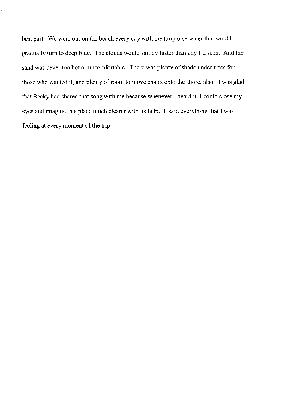best part. We were out on the beach every day with the turquoise water that would gradually tum to deep blue. The clouds would sail by faster than any I'd seen. And the sand was never too hot or uncomfortable. There was plenty of shade under trees for those who wanted it, and plenty of room to move chairs onto the shore, also. I was glad that Becky had shared that song with me because whenever I heard it, I could close my eyes and imagine this place much clearer with its help. It said everything that I was feeling at every moment of the trip.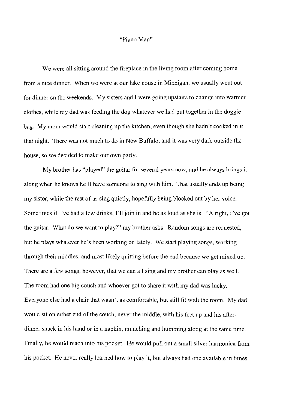### **"Piano Man"**

We were all sitting around the fireplace in the living room after coming home from a nice dinner. When we were at our lake house in Michigan, we usually went out for dinner on the weekends. My sisters and I were going upstairs to change into warmer clothes, while my dad was feeding the dog whatever we had put together in the doggie bag. My mom would start cleaning up the kitchen, even though she hadn't cooked in it that night. There was not much to do in New Buffalo, and it was very dark outside the house, so we decided to make our own party.

My brother has "played" the guitar for several years now, and he always brings it along when he knows he'll have someone to sing with him. That usually ends up being my sister, while the rest of us sing quietly, hopefully being blocked out by her voice. Sometimes if I've had a few drinks, I'll join in and be as loud as she is. "Alright, I've got the guitar. What do we want to play?" my brother asks. Random songs are requested, but he plays whatever he's been working on lately. We start playing songs, working through their middles, and most likely quitting before the end because we get mixed up. There are a few songs, however, that we can all sing and my brother can playas well. The room had one big couch and whoever got to share it with my dad was lucky. Everyone else had a chair that wasn't as comfortable, but still fit with the room. My dad would sit on either end of the couch, never the middle, with his feet up and his afterdinner snack in his hand or in a napkin, munching and humming along at the same time. Finally, he would reach into his pocket. He would pull out a small silver harmonica from his pocket. He never really learned how to play it, but always had one available in times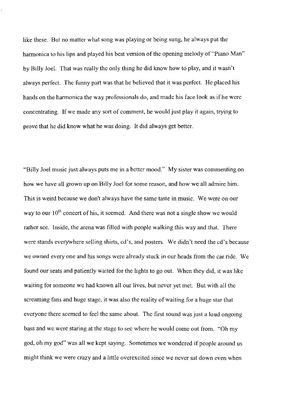like these. But no matter what song was playing or being sung, he always put the harmonica to his lips and played his best version of the opening melody of "Piano Man" by Billy Joel. That was really the only thing he did know how to play, and it wasn't always perfect. The funny part was that he believed that it was perfect. He placed his hands on the harmonica the way professionals do, and made his face look as ifhe were concentrating. **If** we made any sort of comment, he would just play it again, trying to prove that he did know what he was doing. It did always get better.

"Billy Joel music just always puts me in a better mood." My sister was commenting on how we have all grown up on Billy Joel for some reason, and how we all admire him. This is weird because we don't always have the same taste in music. We were on our way to our  $10^{th}$  concert of his, it seemed. And there was not a single show we would rather see. Inside, the arena was filled with people walking this way and that. There were stands everywhere selling shirts, cd's, and posters. We didn't need the cd's because we owned every one and his songs were already stuck in our heads from the car ride. We found our seats and patiently waited for the lights to go out. When they did, it was like waiting for someone we had known all our lives, but never yet met. But with all the screaming fans and huge stage, it was also the reality of waiting for a huge star that everyone there seemed to feel the same about. The first sound was just a loud ongoing bass and we were staring at the stage to see where he would come out from. "Oh my god, oh my god" was all we kept saying. Sometimes we wondered if people around us might think we were crazy and a little overexcited since we never sat down even when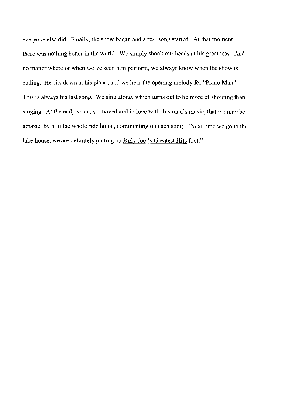everyone else did. Finally, the show began and a real song started. At that moment, there was nothing better in the world. We simply shook our heads at his greatness. And no matter where or when we've seen him perform, we always know when the show is ending. He sits down at his piano, and we hear the opening melody for "Piano Man." This is always his last song. We sing along, which turns out to be more of shouting than singing. At the end, we are so moved and in love with this man's music, that we may be amazed by him the whole ride home, commenting on each song. "Next time we go to the lake house, we are definitely putting on Billy Joel's Greatest Hits first."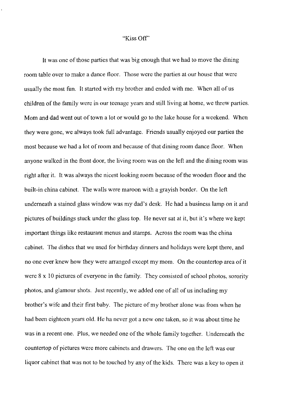## "Kiss Off'

It was one of those parties that was big enough that we had to move the dining room table over to make a dance floor. Those were the parties at our house that were usually the most fun. It started with my brother and ended with me. When all of us children of the family were in our teenage years and still living at home, we threw parties. Mom and dad went out of town a lot or would go to the lake house for a weekend. When they were gone, we always took full advantage. Friends usually enjoyed our parties the most because we had a lot of room and because of that dining room dance floor. When anyone walked in the front door, the living room was on the left and the dining room was right after it. It was always the nicest looking room because of the wooden floor and the built-in china cabinet. The walls were maroon with a grayish border. On the left underneath a stained glass window was my dad's desk. He had a business lamp on it and pictures of buildings stuck under the glass top. He never sat at it, but it's where we kept important things like restaurant menus and stamps. Across the room was the china cabinet. The dishes that we used for birthday dinners and holidays were kept there, and no one ever knew how they were arranged except my mom. On the countertop area of it were 8 x 10 pictures of everyone in the family. They consisted of school photos, sorority photos, and glamour shots. Just recently, we added one of all of us including my brother's wife and their first baby. The picture of my brother alone was from when he had been eighteen years old. He ha never got a new one taken, so it was about time he was in a recent one. Plus, we needed one of the whole family together. Underneath the countertop of pictures were more cabinets and drawers. The one on the left was our liquor cabinet that was not to be touched by any of the kids. There was a key to open it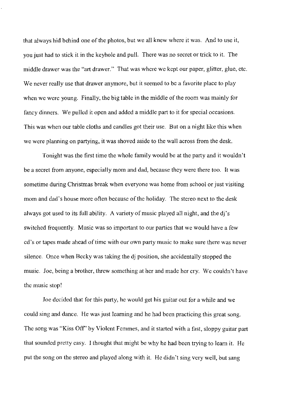that always hid behind one of the photos, but we all knew where it was. And to use it, you just had to stick it in the keyhole and pull. There was no secret or trick to it. The middle drawer was the "art drawer." That was where we kept our paper, glitter, glue, etc. We never really use that drawer anymore, but it seemed to be a favorite place to play when we were young. Finally, the big table in the middle of the room was mainly for fancy dinners. We pulled it open and added a middle part to it for special occasions. This was when our table cloths and candles got their use. But on a night like this when we were planning on partying, it was shoved aside to the wall across from the desk.

Tonight was the first time the whole family would be at the party and it wouldn't be a secret from anyone, especially mom and dad, because they were there too. It was sometime during Christmas break when everyone was home from school or just visiting mom and dad's house more often because of the holiday. The stereo next to the desk always got used to its full ability. A variety of music played all night, and thedj's switched frequently. Music was so important to our parties that we would have a few cd's or tapes made ahead of time with our own party music to make sure there was never silence. Once when Becky was taking the dj position, she accidentally stopped the music. Joe, being a brother, threw something at her and made her cry. We couldn't have the music stop!

Joe decided that for this party, he would get his guitar out for a while and we could sing and dance. He was just learning and he had been practicing this great song. The song was "Kiss Off' by Violent Femmes, and it started with a fast, sloppy guitar part that sounded pretty easy. I thought that might be why he had been trying to learn it. He put the song on the stereo and played along with it. He didn't sing very well, but sang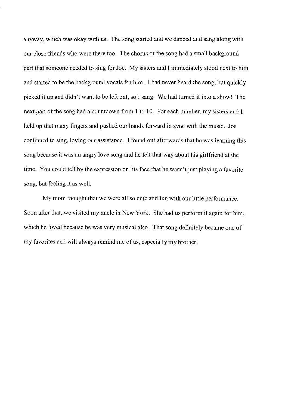anyway, which was okay with us. The song started and we danced and sang along with our close friends who were there too. The chorus of the song had a small background part that someone needed to sing for Joe. My sisters and I immediately stood next to him and started to be the background vocals for him. I had never heard the song, but quickly picked it up and didn't want to be left out, so I sang. We had turned it into a show! The next part of the song had a countdown from 1 to 10. For each number, my sisters and [ held up that many fingers and pushed our hands forward in sync with the music. Joe continued to sing, loving our assistance. I found out afterwards that he was learning this song because it was an angry love song and he felt that way about his girlfriend at the time. You could tell by the expression on his face that he wasn't just playing a favorite song, but feeling it as well.

My mom thought that we were all so cute and fun with our little performance. Soon after that, we visited my uncle in New York. She had us perform it again for him, which he loved because he was very musical also. That song definitely became one of my favorites and will always remind me of us, especially my brother.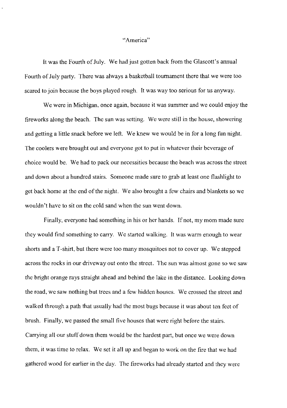### **"America"**

It was the Fourth of July. We had just gotten back from the Glascott's annual Fourth of July party. There was always a basketball tournament there that we were too scared to join because the boys played rough. It was way too serious for us anyway.

We were in Michigan, once again, because it was summer and we could enjoy the fireworks along the beach. The sun was setting. We were still in the house, showering and getting a little snack before we left. We knew we would be in for a long fun night. The coolers were brought out and everyone got to put in whatever their beverage of choice would be. We had to pack our necessities because the beach was across the street and down about a hundred stairs. Someone made sure to grab at least one flashlight to get back home at the end of the night. We also brought a few chairs and blankets so we wouldn't have to sit on the cold sand when the sun went down.

Finally, everyone had something in his or her hands. If not, my mom made sure they would find something to carry. We started walking. It was warm enough to wear shorts and a T-shirt, but there were too many mosquitoes not to cover up. We stepped across the rocks in our driveway out onto the street. The sun was almost gone so we saw the bright orange rays straight ahead and behind the lake in the distance. Looking down the road, we saw nothing but trees and a few hidden houses. We crossed the street and walked through a path that usually had the most bugs because it was about ten feet of brush. Finally, we passed the small five houses that were right before the stairs. Carrying all our stuff down them would be the hardest part, but once we were down them, it was time to relax. We set it all up and began to work on the fire that we had gathered wood for earlier in the day. The fireworks had already started and they were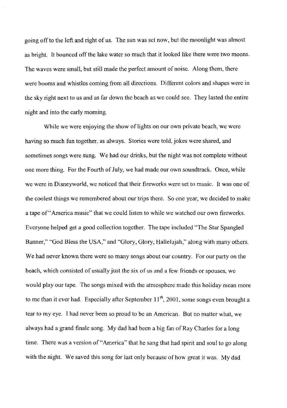going off to the left and right of us. The sun was set now, but the moonlight was almost as bright. It bounced off the lake water so much that it looked like there were two moons. The waves were small, but still made the perfect amount of noise. Along them, there were booms and whistles coming from all directions. Different colors and shapes were in the sky right next to us and as far down the beach as we could see. They lasted the entire night and into the early morning.

While we were enjoying the show of lights on our own private beach, we were having so much fun together, as always. Stories were told, jokes were shared, and sometimes songs were sung. We had our drinks, but the night was not complete without one more thing. For the Fourth of July, we had made our own soundtrack. Once, while we were in Disneyworld, we noticed that their fireworks were set to music. It was one of the coolest things we remembered about our trips there. So one year, we decided to make a tape of "America music" that we could listen to while we watched our own fireworks. Everyone helped get a good collection together. The tape included "The Star Spangled Banner," "God Bless the USA," and "Glory, Glory, Hallelujah," along with many others. We had never known there were so many songs about our country. For our party on the beach, which consisted of usually just the six of us and a few friends or spouses, we would play our tape. The songs mixed with the atmosphere made this holiday mean more to me than it ever had. Especially after September  $11<sup>th</sup>$ , 2001, some songs even brought a tear to my eye. I had never been so proud to be an American. But no matter what, we always had a grand finale song. My dad had been a big fan of Ray Charles for a long time. There was a version of "America" that he sang that had spirit and soul to go along with the night. We saved this song for last only because of how great it was. My dad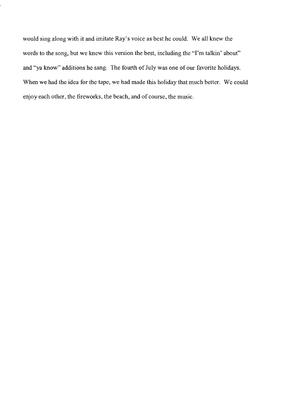would sing along with it and imitate Ray's voice as best he could. We all knew the words to the song, but we knew this version the best, including the "I'm talkin' about" and "ya know" additions he sang. The fourth of July was one of our favorite holidays. When we had the idea for the tape, we had made this holiday that much better. We could enjoy each other, the fireworks, the beach, and of course, the music.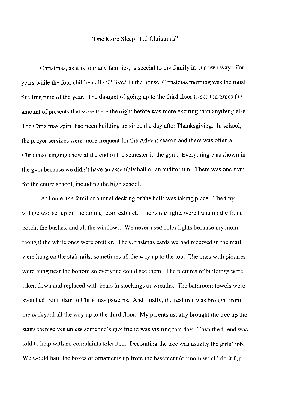# "One More Sleep 'Till Christmas"

Christmas, as it is to many families, is special to my family in our own way. For years while the four children all still lived in the house, Christmas morning was the most thrilling time of the year. The thought of going up to the third floor to see ten times the amount of presents that were there the night before was more exciting than anything else. The Christmas spirit had been building up since the day after Thanksgiving. In school, the prayer services were more frequent for the Advent season and there was often a Christmas singing show at the end of the semester in the gym. Everything was shown in the gym because we didn't have an assembly hall or an auditorium. There was one gym for the entire school, including the high school.

At home, the familiar annual decking of the halls was taking place. The tiny village was set up on the dining room cabinet. The white lights were hung on the front porch, the bushes, and all the windows. We never used color lights because my mom thought the white ones were prettier. The Christmas cards we had received in the mail were hung on the stair rails, sometimes all the way up to the top. The ones with pictures were hung near the bottom so everyone could see them. The pictures of buildings were taken down and replaced with bears in stockings or wreaths. The bathroom towels were switched from plain to Christmas patterns. And finally, the real tree was brought from the backyard all the way up to the third floor. My parents usually brought the tree up the stairs themselves unless someone's guy friend was visiting that day. Then the friend was told to help with no complaints tolerated. Decorating the tree was usually the girls' job. We would haul the boxes of ornaments up from the basement (or mom would do it for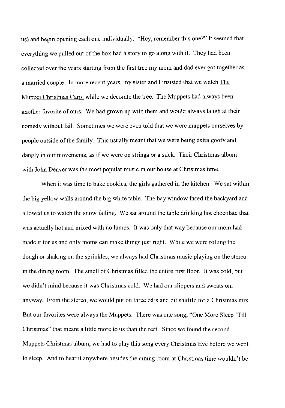us) and begin opening each one individually. "Hey, remember this one?" It seemed that everything we pulled out of the box had a story to go along with it. They had been collected over the years starting from the first tree my mom and dad ever got together as a married couple. In more recent years, my sister and I insisted that we watch The Muppet Christmas Carol while we decorate the tree. The Muppets had always been another favorite of ours. We had grown up with them and would always laugh at their comedy without fail. Sometimes we were even told that we were muppets ourselves by people outside of the family. This usually meant that we were being extra goofy and dangly in our movements, as if we were on strings or a stick. Their Christmas album with John Denver was the most popular music in our house at Christmas time.

When it was time to bake cookies, the girls gathered in the kitchen. We sat within the big yellow walls around the big white table. The bay window faced the backyard and allowed us to watch the snow falling. We sat around the table drinking hot chocolate that was actually hot and mixed with no lumps. It was only that way because our mom had made it for us and only moms can make things just right. While we were rolling the dough or shaking on the sprinkles, we always had Christmas music playing on the stereo in the dining room. The smell of Christmas filled the entire first floor. It was cold, but we didn't mind because it was Christmas cold. We had our slippers and sweats on, anyway. From the stereo, we would put on three cd's and hit shuffle for a Christmas mix. But our favorites were always the Muppets. There was one song, "One More Sleep 'Till Christmas" that meant a little more to us than the rest. Since we found the second Muppets Christmas album, we had to play this song every Christmas Eve before we went to sleep. And to hear it anywhere besides the dining room at Christmas time wouldn't be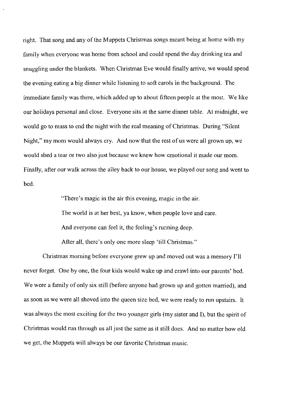right. That song and any of the Muppets Christmas songs meant being at home with my family when everyone was home from school and could spend the day drinking tea and snuggling under the blankets. When Christmas Eve would finally arrive, we would spend the evening eating a big dinner while listening to soft carols in the background. The immediate family was there, which added up to about fifteen people at the most. We like our holidays personal and close. Everyone sits at the same dinner table. At midnight, we would go to mass to end the night with the real meaning of Christmas. During "Silent Night," my mom would always cry. And now that the rest of us were all grown up, we would shed a tear or two also just because we knew how emotional it made our mom. Finally, after our walk across the alley back to our house, we played our song and went to bed.

"There's magic in the air this evening, magic in the air.

The world is at her best, ya know, when people love and care.

And everyone can feel it, the feeling's running deep.

After all, there's only one more sleep 'till Christmas."

Christmas morning before everyone grew up and moved out was a memory **I'll**  never forget. One by one, the four kids would wake up and crawl into our parents' bed. We were a family of only six still (before anyone had grown up and gotten married), and as soon as we were all shoved into the queen size bed, we were ready to run upstairs. It was always the most exciting for the two younger girls (my sister and I), but the spirit of Christmas would run through us all just the same as it still does. And no matter how old we get, the Muppets will always be our favorite Christmas music.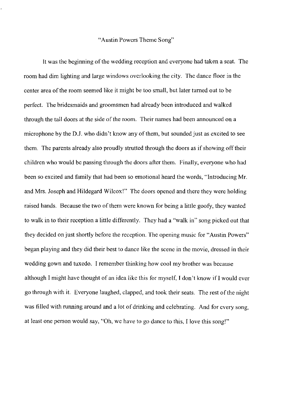# "Austin Powers Theme Song"

It was the beginning of the wedding reception and everyone had taken a seat. The room had dim lighting and large windows overlooking the city. The dance floor in the center area of the room seemed like it might be too small, but later turned out to be perfect. The bridesmaids and groomsmen had already been introduced and walked through the tall doors at the side of the room. Their names had been announced on a microphone by the DJ. who didn't know any of them, but sounded just as excited to see them. The parents already also proudly strutted through the doors as if showing off their children who would be passing through the doors after them. Finally, everyone who had been so excited and family that had been so emotional heard the words, "Introducing Mr. and Mrs. Joseph and Hildegard Wilcox!" The doors opened and there they were holding raised hands. Because the two of them were known for being a little goofy, they wanted to walk in to their reception a little differently. They had a "walk in" song picked out that they decided on just shortly before the reception. The opening music for "Austin Powers" began playing and they did their best to dance like the scene in the movie, dressed in their wedding gown and tuxedo. I remember thinking how cool my brother was because although I might have thought of an idea like this for myself, I don't know if I would ever go through with it. Everyone laughed, clapped, and took their seats. The rest of the night was filled with running around and a Jot of drinking and celebrating. And for every song, at least one person would say, "Oh, we have to go dance to this, I Jove this song!"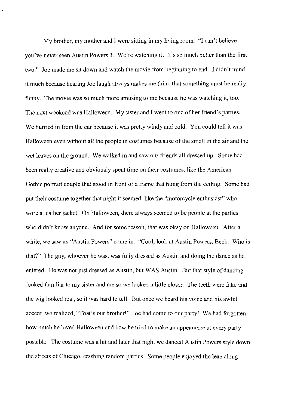My brother, my mother and 1 were sitting in my living room. "I can't believe you've never seen Austin Powers 3. We're watching it. It's so much better than the first two." Joe made me sit down and watch the movie from beginning to end. 1 didn't mind it much because hearing Joe laugh always makes me think that something must be really funny. The movie was so much more amusing to me because he was watching it, too. The next weekend was Halloween. My sister and 1 went to one of her friend's parties. We hurried in from the car because it was pretty windy and cold. You could tell it was Halloween even without all the people in costumes because of the smell in the air and the wet leaves on the ground. We walked in and saw our friends all dressed up. Some had been really creative and obviously spent time on their costumes, like the American Gothic portrait couple that stood in front of a frame that hung from the ceiling. Some had put their costume together that night it seemed, like the "motorcycle enthusiast" who wore a leather jacket. On Halloween, there always seemed to be people at the parties who didn't know anyone. And for some reason, that was okay on Halloween. After a while, we saw an "Austin Powers" come in. "Cool, look at Austin Powers, Beck. Who is that?" The guy, whoever he was, was fully dressed as Austin and doing the dance as he entered. He was not just dressed as Austin, but WAS Austin. But that style of dancing looked familiar to my sister and me so we looked a little closer. The teeth were fake and the wig looked real, so it was hard to tell. But once we heard his voice and his awful accent, we realized, "That's our brother!" Joe had come to our party' We had forgotten how much he loved Halloween and how he tried to make an appearance at every party possible. The costume was a hit and later that night we danced Austin Powers style down the streets of Chicago, crashing random parties. Some people enjoyed the leap along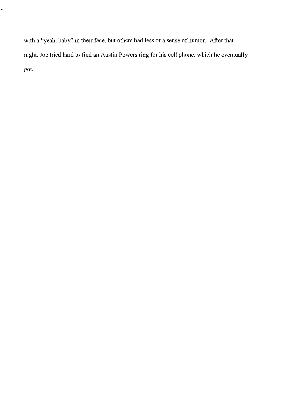with a "yeah, baby" in their face, but others had less of a sense of humor. After that night, Joe tried hard to find an Austin Powers ring for his cell phone, which he eventually got.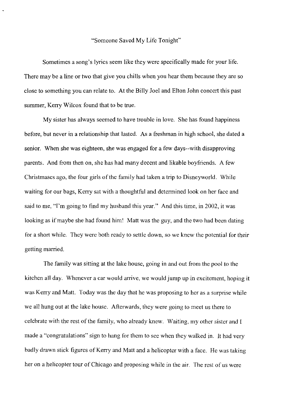### "Someone Saved My Life Tonight"

Sometimes a song's lyrics seem like they were specifically made for your life. There may be a line or two that give you chills when you hear them because they are so close to something you can relate to. At the Billy Joel and Elton John concert this past summer, Kerry Wilcox found that to be true.

My sister has always seemed to have trouble in love. She has found happiness before, but never in a relationship that lasted. As a freshman in high school, she dated a senior. When she was eighteen, she was engaged for a few days--with disapproving parents. And from then on, she has had many decent and likable boyfriends. A few Christmases ago, the four girls of the family had taken a trip to Disneyworld. While waiting for our bags, Kerry sat with a thoughtful and determined look on her face and said to me, "I'm going to find my husband this year." And this time, in 2002, it was looking as if maybe she had found him! Matt was the guy, and the two had been dating for a short while. They were both ready to settle down, so we knew the potential for their getting married.

The family was sitting at the lake house, going in and out from the pool to the kitchen all day. Whenever a car would arrive, we would jump up in excitement, hoping it was Kerry and Matt. Today was the day that he was proposing to her as a surprise while we all hung out at the lake house. Afterwards, they were going to meet us there to celebrate with the rest of the family, who already knew. Waiting, my other sister and I made a "congratulations" sign to hang for them to see when they walked in. It had very badly drawn stick figures of Kerry and Matt and a helicopter with a face. He was taking her on a helicopter tour of Chicago and proposing while in the air. The rest of us were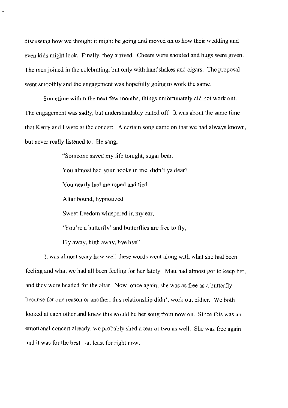discussing how we thought it might be going and moved on to how their wedding and even kids might look. Finally, they arrived. Cheers were shouted and hugs were given. The men joined in the celebrating, but only with handshakes and cigars. The proposal went smoothly and the engagement was hopefully going to work the same.

Sometime within the next few months, things unfortunately did not work out. The engagement was sadly, but understandably called off. It was about the same time that Kerry and I were at the concert. A certain song came on that we had always known, but never really listened to. He sang,

"Someone saved my life tonight, sugar bear.

You almost had your hooks in me, didn't ya dear?

You nearly had me roped and tied-

Altar bound, hypnotized.

Sweet freedom whispered in my ear,

'You're a butterfly' and butterflies are free to fly,

Flyaway, high away, bye bye"

It was almost scary how well these words went along with what she had been feeling and what we had all been feeling for her lately. Matt had almost got to keep her, and they were headed for the altar. Now, once again, she was as free as a butterfly because for one reason or another, this relationship didn't work out either. We both looked at each other and knew this would be her song from now on. Since this was an emotional concert already, we probably shed a tear or two as well. She was free again and it was for the best-at least for right now.